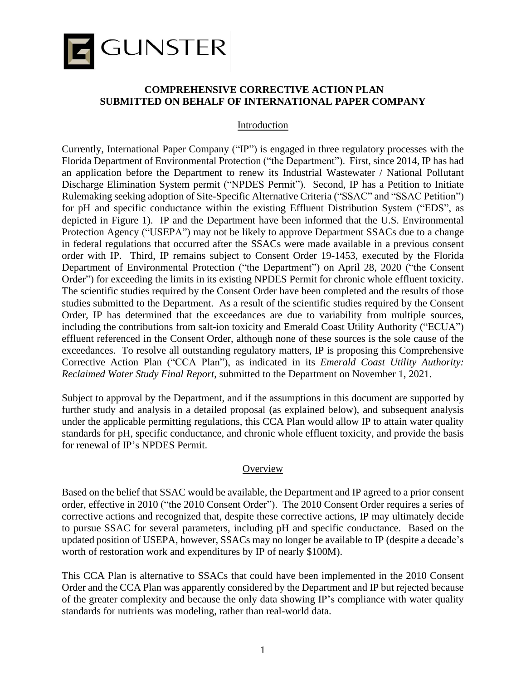

### **COMPREHENSIVE CORRECTIVE ACTION PLAN SUBMITTED ON BEHALF OF INTERNATIONAL PAPER COMPANY**

#### Introduction

Currently, International Paper Company ("IP") is engaged in three regulatory processes with the Florida Department of Environmental Protection ("the Department"). First, since 2014, IP has had an application before the Department to renew its Industrial Wastewater / National Pollutant Discharge Elimination System permit ("NPDES Permit"). Second, IP has a Petition to Initiate Rulemaking seeking adoption of Site-Specific Alternative Criteria ("SSAC" and "SSAC Petition") for pH and specific conductance within the existing Effluent Distribution System ("EDS", as depicted in Figure 1). IP and the Department have been informed that the U.S. Environmental Protection Agency ("USEPA") may not be likely to approve Department SSACs due to a change in federal regulations that occurred after the SSACs were made available in a previous consent order with IP. Third, IP remains subject to Consent Order 19-1453, executed by the Florida Department of Environmental Protection ("the Department") on April 28, 2020 ("the Consent Order") for exceeding the limits in its existing NPDES Permit for chronic whole effluent toxicity. The scientific studies required by the Consent Order have been completed and the results of those studies submitted to the Department. As a result of the scientific studies required by the Consent Order, IP has determined that the exceedances are due to variability from multiple sources, including the contributions from salt-ion toxicity and Emerald Coast Utility Authority ("ECUA") effluent referenced in the Consent Order, although none of these sources is the sole cause of the exceedances. To resolve all outstanding regulatory matters, IP is proposing this Comprehensive Corrective Action Plan ("CCA Plan"), as indicated in its *Emerald Coast Utility Authority: Reclaimed Water Study Final Report*, submitted to the Department on November 1, 2021.

Subject to approval by the Department, and if the assumptions in this document are supported by further study and analysis in a detailed proposal (as explained below), and subsequent analysis under the applicable permitting regulations, this CCA Plan would allow IP to attain water quality standards for pH, specific conductance, and chronic whole effluent toxicity, and provide the basis for renewal of IP's NPDES Permit.

#### **Overview**

Based on the belief that SSAC would be available, the Department and IP agreed to a prior consent order, effective in 2010 ("the 2010 Consent Order"). The 2010 Consent Order requires a series of corrective actions and recognized that, despite these corrective actions, IP may ultimately decide to pursue SSAC for several parameters, including pH and specific conductance. Based on the updated position of USEPA, however, SSACs may no longer be available to IP (despite a decade's worth of restoration work and expenditures by IP of nearly \$100M).

This CCA Plan is alternative to SSACs that could have been implemented in the 2010 Consent Order and the CCA Plan was apparently considered by the Department and IP but rejected because of the greater complexity and because the only data showing IP's compliance with water quality standards for nutrients was modeling, rather than real-world data.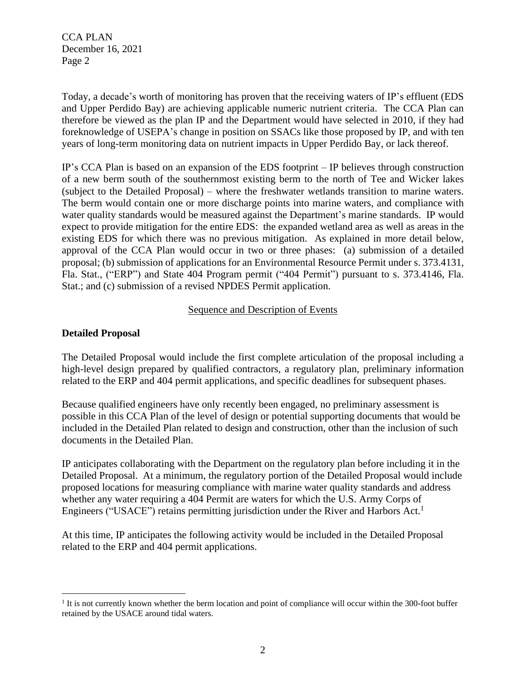Today, a decade's worth of monitoring has proven that the receiving waters of IP's effluent (EDS and Upper Perdido Bay) are achieving applicable numeric nutrient criteria. The CCA Plan can therefore be viewed as the plan IP and the Department would have selected in 2010, if they had foreknowledge of USEPA's change in position on SSACs like those proposed by IP, and with ten years of long-term monitoring data on nutrient impacts in Upper Perdido Bay, or lack thereof.

IP's CCA Plan is based on an expansion of the EDS footprint – IP believes through construction of a new berm south of the southernmost existing berm to the north of Tee and Wicker lakes (subject to the Detailed Proposal) – where the freshwater wetlands transition to marine waters. The berm would contain one or more discharge points into marine waters, and compliance with water quality standards would be measured against the Department's marine standards. IP would expect to provide mitigation for the entire EDS: the expanded wetland area as well as areas in the existing EDS for which there was no previous mitigation. As explained in more detail below, approval of the CCA Plan would occur in two or three phases: (a) submission of a detailed proposal; (b) submission of applications for an Environmental Resource Permit under s. 373.4131, Fla. Stat., ("ERP") and State 404 Program permit ("404 Permit") pursuant to s. 373.4146, Fla. Stat.; and (c) submission of a revised NPDES Permit application.

#### Sequence and Description of Events

#### **Detailed Proposal**

The Detailed Proposal would include the first complete articulation of the proposal including a high-level design prepared by qualified contractors, a regulatory plan, preliminary information related to the ERP and 404 permit applications, and specific deadlines for subsequent phases.

Because qualified engineers have only recently been engaged, no preliminary assessment is possible in this CCA Plan of the level of design or potential supporting documents that would be included in the Detailed Plan related to design and construction, other than the inclusion of such documents in the Detailed Plan.

IP anticipates collaborating with the Department on the regulatory plan before including it in the Detailed Proposal. At a minimum, the regulatory portion of the Detailed Proposal would include proposed locations for measuring compliance with marine water quality standards and address whether any water requiring a 404 Permit are waters for which the U.S. Army Corps of Engineers ("USACE") retains permitting jurisdiction under the River and Harbors Act.<sup>1</sup>

At this time, IP anticipates the following activity would be included in the Detailed Proposal related to the ERP and 404 permit applications.

<sup>&</sup>lt;sup>1</sup> It is not currently known whether the berm location and point of compliance will occur within the 300-foot buffer retained by the USACE around tidal waters.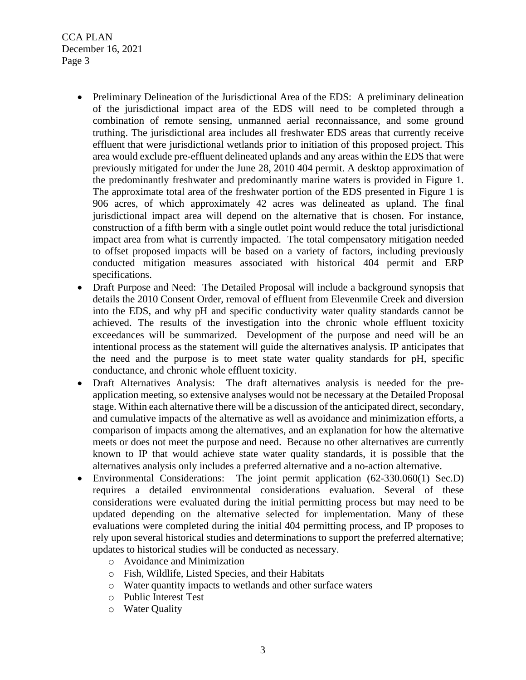- Preliminary Delineation of the Jurisdictional Area of the EDS: A preliminary delineation of the jurisdictional impact area of the EDS will need to be completed through a combination of remote sensing, unmanned aerial reconnaissance, and some ground truthing. The jurisdictional area includes all freshwater EDS areas that currently receive effluent that were jurisdictional wetlands prior to initiation of this proposed project. This area would exclude pre-effluent delineated uplands and any areas within the EDS that were previously mitigated for under the June 28, 2010 404 permit. A desktop approximation of the predominantly freshwater and predominantly marine waters is provided in Figure 1. The approximate total area of the freshwater portion of the EDS presented in Figure 1 is 906 acres, of which approximately 42 acres was delineated as upland. The final jurisdictional impact area will depend on the alternative that is chosen. For instance, construction of a fifth berm with a single outlet point would reduce the total jurisdictional impact area from what is currently impacted. The total compensatory mitigation needed to offset proposed impacts will be based on a variety of factors, including previously conducted mitigation measures associated with historical 404 permit and ERP specifications.
- Draft Purpose and Need: The Detailed Proposal will include a background synopsis that details the 2010 Consent Order, removal of effluent from Elevenmile Creek and diversion into the EDS, and why pH and specific conductivity water quality standards cannot be achieved. The results of the investigation into the chronic whole effluent toxicity exceedances will be summarized. Development of the purpose and need will be an intentional process as the statement will guide the alternatives analysis. IP anticipates that the need and the purpose is to meet state water quality standards for pH, specific conductance, and chronic whole effluent toxicity.
- Draft Alternatives Analysis:The draft alternatives analysis is needed for the preapplication meeting, so extensive analyses would not be necessary at the Detailed Proposal stage. Within each alternative there will be a discussion of the anticipated direct, secondary, and cumulative impacts of the alternative as well as avoidance and minimization efforts, a comparison of impacts among the alternatives, and an explanation for how the alternative meets or does not meet the purpose and need. Because no other alternatives are currently known to IP that would achieve state water quality standards, it is possible that the alternatives analysis only includes a preferred alternative and a no-action alternative.
- Environmental Considerations: The joint permit application (62-330.060(1) Sec.D) requires a detailed environmental considerations evaluation. Several of these considerations were evaluated during the initial permitting process but may need to be updated depending on the alternative selected for implementation. Many of these evaluations were completed during the initial 404 permitting process, and IP proposes to rely upon several historical studies and determinations to support the preferred alternative; updates to historical studies will be conducted as necessary.
	- o Avoidance and Minimization
	- o Fish, Wildlife, Listed Species, and their Habitats
	- o Water quantity impacts to wetlands and other surface waters
	- o Public Interest Test
	- o Water Quality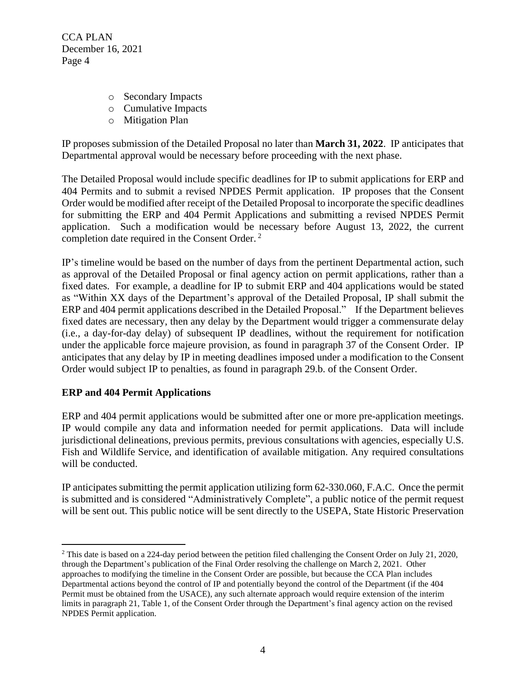- o Secondary Impacts
- o Cumulative Impacts
- o Mitigation Plan

IP proposes submission of the Detailed Proposal no later than **March 31, 2022**. IP anticipates that Departmental approval would be necessary before proceeding with the next phase.

The Detailed Proposal would include specific deadlines for IP to submit applications for ERP and 404 Permits and to submit a revised NPDES Permit application. IP proposes that the Consent Order would be modified after receipt of the Detailed Proposal to incorporate the specific deadlines for submitting the ERP and 404 Permit Applications and submitting a revised NPDES Permit application. Such a modification would be necessary before August 13, 2022, the current completion date required in the Consent Order. <sup>2</sup>

IP's timeline would be based on the number of days from the pertinent Departmental action, such as approval of the Detailed Proposal or final agency action on permit applications, rather than a fixed dates. For example, a deadline for IP to submit ERP and 404 applications would be stated as "Within XX days of the Department's approval of the Detailed Proposal, IP shall submit the ERP and 404 permit applications described in the Detailed Proposal." If the Department believes fixed dates are necessary, then any delay by the Department would trigger a commensurate delay (i.e., a day-for-day delay) of subsequent IP deadlines, without the requirement for notification under the applicable force majeure provision, as found in paragraph 37 of the Consent Order. IP anticipates that any delay by IP in meeting deadlines imposed under a modification to the Consent Order would subject IP to penalties, as found in paragraph 29.b. of the Consent Order.

## **ERP and 404 Permit Applications**

ERP and 404 permit applications would be submitted after one or more pre-application meetings. IP would compile any data and information needed for permit applications.Data will include jurisdictional delineations, previous permits, previous consultations with agencies, especially U.S. Fish and Wildlife Service, and identification of available mitigation. Any required consultations will be conducted.

IP anticipates submitting the permit application utilizing form 62-330.060, F.A.C. Once the permit is submitted and is considered "Administratively Complete", a public notice of the permit request will be sent out. This public notice will be sent directly to the USEPA, State Historic Preservation

<sup>&</sup>lt;sup>2</sup> This date is based on a 224-day period between the petition filed challenging the Consent Order on July 21, 2020, through the Department's publication of the Final Order resolving the challenge on March 2, 2021. Other approaches to modifying the timeline in the Consent Order are possible, but because the CCA Plan includes Departmental actions beyond the control of IP and potentially beyond the control of the Department (if the 404 Permit must be obtained from the USACE), any such alternate approach would require extension of the interim limits in paragraph 21, Table 1, of the Consent Order through the Department's final agency action on the revised NPDES Permit application.